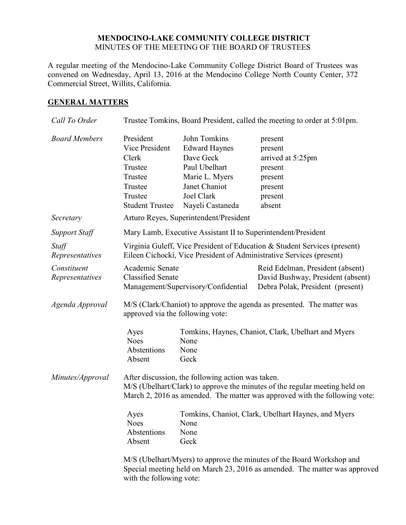#### **MENDOCINO-LAKE COMMUNITY COLLEGE DISTRICT** MINUTES OF THE MEETING OF THE BOARD OF TRUSTEES

A regular meeting of the Mendocino-Lake Community College District Board of Trustees was convened on Wednesday, April 13, 2016 at the Mendocino College North County Center, 372 Commercial Street, Willits, California.

### **GENERAL MATTERS**

| Call To Order                  | Trustee Tomkins, Board President, called the meeting to order at 5:01pm.                                                                                                                                      |                                                                                                                                         |                                                                                                           |
|--------------------------------|---------------------------------------------------------------------------------------------------------------------------------------------------------------------------------------------------------------|-----------------------------------------------------------------------------------------------------------------------------------------|-----------------------------------------------------------------------------------------------------------|
| <b>Board Members</b>           | President<br>Vice President<br>Clerk<br>Trustee<br>Trustee<br>Trustee<br>Trustee<br><b>Student Trustee</b>                                                                                                    | John Tomkins<br><b>Edward Haynes</b><br>Dave Geck<br>Paul Ubelhart<br>Marie L. Myers<br>Janet Chaniot<br>Joel Clark<br>Nayeli Castaneda | present<br>present<br>arrived at 5:25pm<br>present<br>present<br>present<br>present<br>absent             |
| Secretary                      |                                                                                                                                                                                                               | Arturo Reyes, Superintendent/President                                                                                                  |                                                                                                           |
| <b>Support Staff</b>           | Mary Lamb, Executive Assistant II to Superintendent/President                                                                                                                                                 |                                                                                                                                         |                                                                                                           |
| Staff<br>Representatives       | Virginia Guleff, Vice President of Education & Student Services (present)<br>Eileen Cichocki, Vice President of Administrative Services (present)                                                             |                                                                                                                                         |                                                                                                           |
| Constituent<br>Representatives | Academic Senate<br><b>Classified Senate</b>                                                                                                                                                                   | Management/Supervisory/Confidential                                                                                                     | Reid Edelman, President (absent)<br>David Bushway, President (absent)<br>Debra Polak, President (present) |
| Agenda Approval                | M/S (Clark/Chaniot) to approve the agenda as presented. The matter was<br>approved via the following vote:                                                                                                    |                                                                                                                                         |                                                                                                           |
|                                | Ayes<br><b>Noes</b><br>Abstentions<br>Absent                                                                                                                                                                  | None<br>None<br>Geck                                                                                                                    | Tomkins, Haynes, Chaniot, Clark, Ubelhart and Myers                                                       |
| Minutes/Approval               | After discussion, the following action was taken.<br>M/S (Ubelhart/Clark) to approve the minutes of the regular meeting held on<br>March 2, 2016 as amended. The matter was approved with the following vote: |                                                                                                                                         |                                                                                                           |
|                                | Ayes<br><b>Noes</b><br>Abstentions<br>Absent                                                                                                                                                                  | Tomkins, Chaniot, Clark, Ubelhart Haynes, and Myers<br>None<br>None<br>Geck                                                             |                                                                                                           |
|                                | M/S (Ubelhart/Myers) to approve the minutes of the Board Workshop and<br>Special meeting held on March 23, 2016 as amended. The matter was approved<br>with the following vote:                               |                                                                                                                                         |                                                                                                           |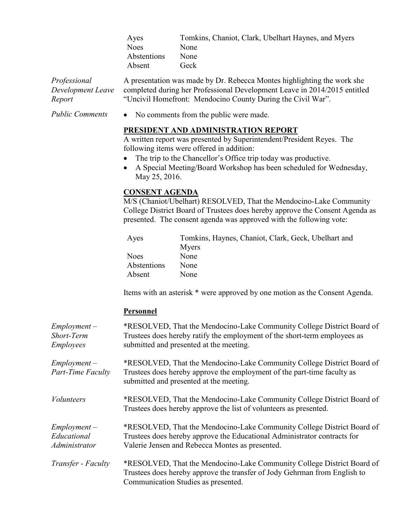| Tomkins, Chaniot, Clark, Ubelhart Haynes, and Myers |
|-----------------------------------------------------|
| <b>None</b>                                         |
| <b>None</b>                                         |
| Geck                                                |
|                                                     |

*Professional Development Leave Report* A presentation was made by Dr. Rebecca Montes highlighting the work she completed during her Professional Development Leave in 2014/2015 entitled "Uncivil Homefront: Mendocino County During the Civil War".

*Public Comments* • No comments from the public were made.

### **PRESIDENT AND ADMINISTRATION REPORT**

A written report was presented by Superintendent/President Reyes. The following items were offered in addition:

- The trip to the Chancellor's Office trip today was productive.
- A Special Meeting/Board Workshop has been scheduled for Wednesday, May 25, 2016.

## **CONSENT AGENDA**

M/S (Chaniot/Ubelhart) RESOLVED, That the Mendocino-Lake Community College District Board of Trustees does hereby approve the Consent Agenda as presented. The consent agenda was approved with the following vote:

| Ayes        | Tomkins, Haynes, Chaniot, Clark, Geck, Ubelhart and |
|-------------|-----------------------------------------------------|
|             | Myers                                               |
| <b>Noes</b> | None                                                |
| Abstentions | None                                                |
| Absent      | None                                                |

Items with an asterisk \* were approved by one motion as the Consent Agenda.

#### **Personnel**

| $Employment -$<br>Short-Term<br><b>Employees</b> | *RESOLVED, That the Mendocino-Lake Community College District Board of<br>Trustees does hereby ratify the employment of the short-term employees as<br>submitted and presented at the meeting.        |
|--------------------------------------------------|-------------------------------------------------------------------------------------------------------------------------------------------------------------------------------------------------------|
| $Employment -$<br><b>Part-Time Faculty</b>       | *RESOLVED, That the Mendocino-Lake Community College District Board of<br>Trustees does hereby approve the employment of the part-time faculty as<br>submitted and presented at the meeting.          |
| <b>Volunteers</b>                                | *RESOLVED, That the Mendocino-Lake Community College District Board of<br>Trustees does hereby approve the list of volunteers as presented.                                                           |
| $Employment -$<br>Educational<br>Administrator   | *RESOLVED, That the Mendocino-Lake Community College District Board of<br>Trustees does hereby approve the Educational Administrator contracts for<br>Valerie Jensen and Rebecca Montes as presented. |
| Transfer - Faculty                               | *RESOLVED, That the Mendocino-Lake Community College District Board of<br>Trustees does hereby approve the transfer of Jody Gehrman from English to<br>Communication Studies as presented.            |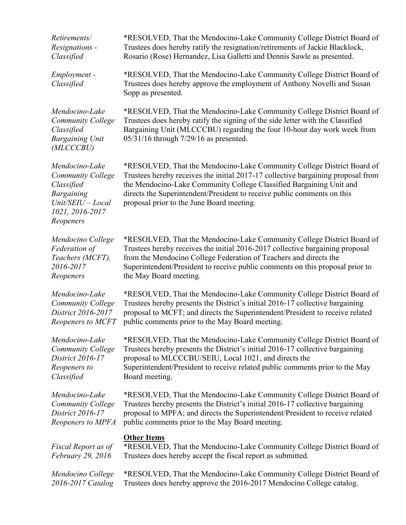*Retirements/ Resignations - Classified* \*RESOLVED, That the Mendocino-Lake Community College District Board of Trustees does hereby ratify the resignation/retirements of Jackie Blacklock, Rosario (Rose) Hernandez, Lisa Galletti and Dennis Sawle as presented.

> \*RESOLVED, That the Mendocino-Lake Community College District Board of Trustees does hereby approve the employment of Anthony Novelli and Susan Sopp as presented.

*Mendocino-Lake Community College Classified Bargaining Unit (MLCCCBU)*

*Employment - Classified*

*Mendocino-Lake Community College Classified Bargaining Unit/SEIU – Local 1021, 2016-2017 Reopeners*

*Mendocino College Federation of Teachers (MCFT), 2016-2017 Reopeners*

*Mendocino-Lake Community College District 2016-2017 Reopeners to MCFT*

*Mendocino-Lake Community College District 2016-17 Reopeners to Classified* 

*Mendocino-Lake Community College District 2016-17 Reopeners to MPFA*

*Fiscal Report as of February 29, 2016*

*Mendocino College 2016-2017 Catalog*

\*RESOLVED, That the Mendocino-Lake Community College District Board of Trustees does hereby ratify the signing of the side letter with the Classified Bargaining Unit (MLCCCBU) regarding the four 10-hour day work week from 05/31/16 through 7/29/16 as presented.

\*RESOLVED, That the Mendocino-Lake Community College District Board of Trustees hereby receives the initial 2017-17 collective bargaining proposal from the Mendocino-Lake Community College Classified Bargaining Unit and directs the Superintendent/President to receive public comments on this proposal prior to the June Board meeting.

\*RESOLVED, That the Mendocino-Lake Community College District Board of Trustees hereby receives the initial 2016-2017 collective bargaining proposal from the Mendocino College Federation of Teachers and directs the Superintendent/President to receive public comments on this proposal prior to the May Board meeting.

\*RESOLVED, That the Mendocino-Lake Community College District Board of Trustees hereby presents the District's initial 2016-17 collective bargaining proposal to MCFT; and directs the Superintendent/President to receive related public comments prior to the May Board meeting.

\*RESOLVED, That the Mendocino-Lake Community College District Board of Trustees hereby presents the District's initial 2016-17 collective bargaining proposal to MLCCCBU/SEIU, Local 1021, and directs the Superintendent/President to receive related public comments prior to the May Board meeting.

\*RESOLVED, That the Mendocino-Lake Community College District Board of Trustees hereby presents the District's initial 2016-17 collective bargaining proposal to MPFA; and directs the Superintendent/President to receive related public comments prior to the May Board meeting.

# **Other Items**

\*RESOLVED, That the Mendocino-Lake Community College District Board of Trustees does hereby accept the fiscal report as submitted.

\*RESOLVED, That the Mendocino-Lake Community College District Board of Trustees does hereby approve the 2016-2017 Mendocino College catalog.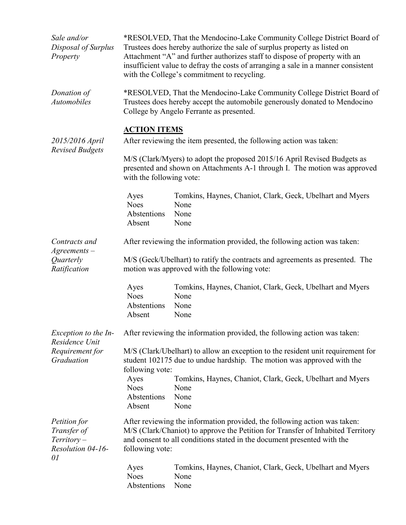| Sale and/or<br>Disposal of Surplus<br>Property                           |                                                                                                                                                                                                                                                            | *RESOLVED, That the Mendocino-Lake Community College District Board of<br>Trustees does hereby authorize the sale of surplus property as listed on<br>Attachment "A" and further authorizes staff to dispose of property with an<br>insufficient value to defray the costs of arranging a sale in a manner consistent<br>with the College's commitment to recycling. |  |
|--------------------------------------------------------------------------|------------------------------------------------------------------------------------------------------------------------------------------------------------------------------------------------------------------------------------------------------------|----------------------------------------------------------------------------------------------------------------------------------------------------------------------------------------------------------------------------------------------------------------------------------------------------------------------------------------------------------------------|--|
| Donation of<br><b>Automobiles</b>                                        | *RESOLVED, That the Mendocino-Lake Community College District Board of<br>Trustees does hereby accept the automobile generously donated to Mendocino<br>College by Angelo Ferrante as presented.                                                           |                                                                                                                                                                                                                                                                                                                                                                      |  |
| 2015/2016 April<br><b>Revised Budgets</b>                                | <b>ACTION ITEMS</b><br>After reviewing the item presented, the following action was taken:                                                                                                                                                                 |                                                                                                                                                                                                                                                                                                                                                                      |  |
|                                                                          | M/S (Clark/Myers) to adopt the proposed 2015/16 April Revised Budgets as<br>presented and shown on Attachments A-1 through I. The motion was approved<br>with the following vote:                                                                          |                                                                                                                                                                                                                                                                                                                                                                      |  |
|                                                                          | Ayes<br><b>Noes</b><br>Abstentions<br>Absent                                                                                                                                                                                                               | Tomkins, Haynes, Chaniot, Clark, Geck, Ubelhart and Myers<br>None<br>None<br>None                                                                                                                                                                                                                                                                                    |  |
| Contracts and                                                            | After reviewing the information provided, the following action was taken:                                                                                                                                                                                  |                                                                                                                                                                                                                                                                                                                                                                      |  |
| $A$ greements $-$<br>Quarterly<br>Ratification                           | M/S (Geck/Ubelhart) to ratify the contracts and agreements as presented. The<br>motion was approved with the following vote:                                                                                                                               |                                                                                                                                                                                                                                                                                                                                                                      |  |
|                                                                          | Ayes<br><b>Noes</b><br>Abstentions<br>Absent                                                                                                                                                                                                               | Tomkins, Haynes, Chaniot, Clark, Geck, Ubelhart and Myers<br>None<br>None<br>None                                                                                                                                                                                                                                                                                    |  |
| Exception to the In-<br>Residence Unit                                   |                                                                                                                                                                                                                                                            | After reviewing the information provided, the following action was taken:                                                                                                                                                                                                                                                                                            |  |
| Requirement for<br>Graduation                                            | M/S (Clark/Ubelhart) to allow an exception to the resident unit requirement for<br>student 102175 due to undue hardship. The motion was approved with the<br>following vote:                                                                               |                                                                                                                                                                                                                                                                                                                                                                      |  |
|                                                                          | Ayes<br><b>Noes</b><br>Abstentions<br>Absent                                                                                                                                                                                                               | Tomkins, Haynes, Chaniot, Clark, Geck, Ubelhart and Myers<br>None<br>None<br>None                                                                                                                                                                                                                                                                                    |  |
| Petition for<br>Transfer of<br>$T$ erritory –<br>Resolution 04-16-<br>01 | After reviewing the information provided, the following action was taken:<br>M/S (Clark/Chaniot) to approve the Petition for Transfer of Inhabited Territory<br>and consent to all conditions stated in the document presented with the<br>following vote: |                                                                                                                                                                                                                                                                                                                                                                      |  |
|                                                                          | Ayes<br><b>Noes</b><br>Abstentions                                                                                                                                                                                                                         | Tomkins, Haynes, Chaniot, Clark, Geck, Ubelhart and Myers<br>None<br>None                                                                                                                                                                                                                                                                                            |  |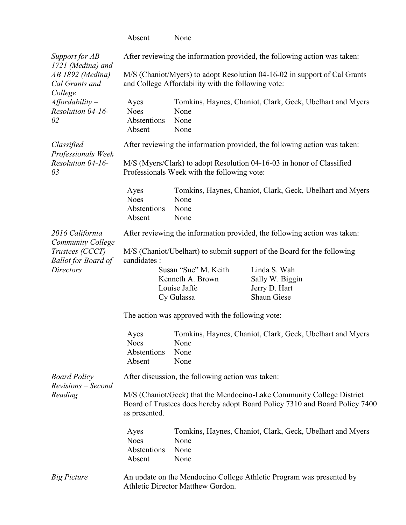|                                                                                        | Absent                                                                                                               | None                                                                   |                                                                                                                                                      |
|----------------------------------------------------------------------------------------|----------------------------------------------------------------------------------------------------------------------|------------------------------------------------------------------------|------------------------------------------------------------------------------------------------------------------------------------------------------|
| Support for AB<br>1721 (Medina) and                                                    |                                                                                                                      |                                                                        | After reviewing the information provided, the following action was taken:                                                                            |
| AB 1892 (Medina)<br>Cal Grants and<br>College                                          |                                                                                                                      | and College Affordability with the following vote:                     | M/S (Chaniot/Myers) to adopt Resolution 04-16-02 in support of Cal Grants                                                                            |
| $A$ ffordability –<br>Resolution 04-16-<br>02                                          | Ayes<br><b>Noes</b><br>Abstentions<br>Absent                                                                         | None<br>None<br>None                                                   | Tomkins, Haynes, Chaniot, Clark, Geck, Ubelhart and Myers                                                                                            |
| Classified<br>Professionals Week<br>Resolution 04-16-<br>03                            |                                                                                                                      |                                                                        | After reviewing the information provided, the following action was taken:                                                                            |
|                                                                                        | M/S (Myers/Clark) to adopt Resolution 04-16-03 in honor of Classified<br>Professionals Week with the following vote: |                                                                        |                                                                                                                                                      |
|                                                                                        | Ayes<br><b>Noes</b><br>Abstentions<br>Absent                                                                         | None<br>None<br>None                                                   | Tomkins, Haynes, Chaniot, Clark, Geck, Ubelhart and Myers                                                                                            |
| 2016 California                                                                        |                                                                                                                      |                                                                        | After reviewing the information provided, the following action was taken:                                                                            |
| Community College<br>Trustees (CCCT)<br><b>Ballot for Board of</b><br><b>Directors</b> | candidates :                                                                                                         | Susan "Sue" M. Keith<br>Kenneth A. Brown<br>Louise Jaffe<br>Cy Gulassa | M/S (Chaniot/Ubelhart) to submit support of the Board for the following<br>Linda S. Wah<br>Sally W. Biggin<br>Jerry D. Hart<br><b>Shaun Giese</b>    |
|                                                                                        | The action was approved with the following vote:                                                                     |                                                                        |                                                                                                                                                      |
|                                                                                        | Ayes<br><b>Noes</b><br>Abstentions<br>Absent                                                                         | None<br>None<br>None                                                   | Tomkins, Haynes, Chaniot, Clark, Geck, Ubelhart and Myers                                                                                            |
| <b>Board Policy</b><br>Revisions - Second                                              | After discussion, the following action was taken:                                                                    |                                                                        |                                                                                                                                                      |
| Reading                                                                                | as presented.                                                                                                        |                                                                        | M/S (Chaniot/Geck) that the Mendocino-Lake Community College District<br>Board of Trustees does hereby adopt Board Policy 7310 and Board Policy 7400 |
|                                                                                        | Ayes<br><b>Noes</b><br>Abstentions<br>Absent                                                                         | None<br>None<br>None                                                   | Tomkins, Haynes, Chaniot, Clark, Geck, Ubelhart and Myers                                                                                            |
| <b>Big Picture</b>                                                                     | An update on the Mendocino College Athletic Program was presented by<br>Athletic Director Matthew Gordon.            |                                                                        |                                                                                                                                                      |